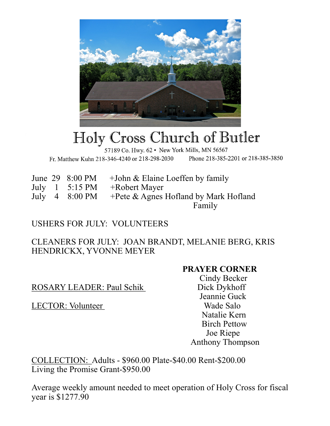

## Holy Cross Church of Butler

57189 Co. Hwy. 62 · New York Mills, MN 56567 Fr. Matthew Kuhn 218-346-4240 or 218-298-2030 Phone 218-385-2201 or 218-385-3850

June 29  $8:00 \text{ PM}$  +John & Elaine Loeffen by family July 1 5:15 PM +Robert Mayer July 4 8:00 PM +Pete & Agnes Hofland by Mark Hofland Family

## USHERS FOR JULY: VOLUNTEERS

CLEANERS FOR JULY: JOAN BRANDT, MELANIE BERG, KRIS HENDRICKX, YVONNE MEYER

## **PRAYER CORNER**

ROSARY LEADER: Paul Schik Dick Dykhoff

LECTOR: Volunteer Wade Salo

 Cindy Becker Jeannie Guck Natalie Kern Birch Pettow Joe Riepe Anthony Thompson

COLLECTION: Adults - \$960.00 Plate-\$40.00 Rent-\$200.00 Living the Promise Grant-\$950.00

Average weekly amount needed to meet operation of Holy Cross for fiscal year is \$1277.90